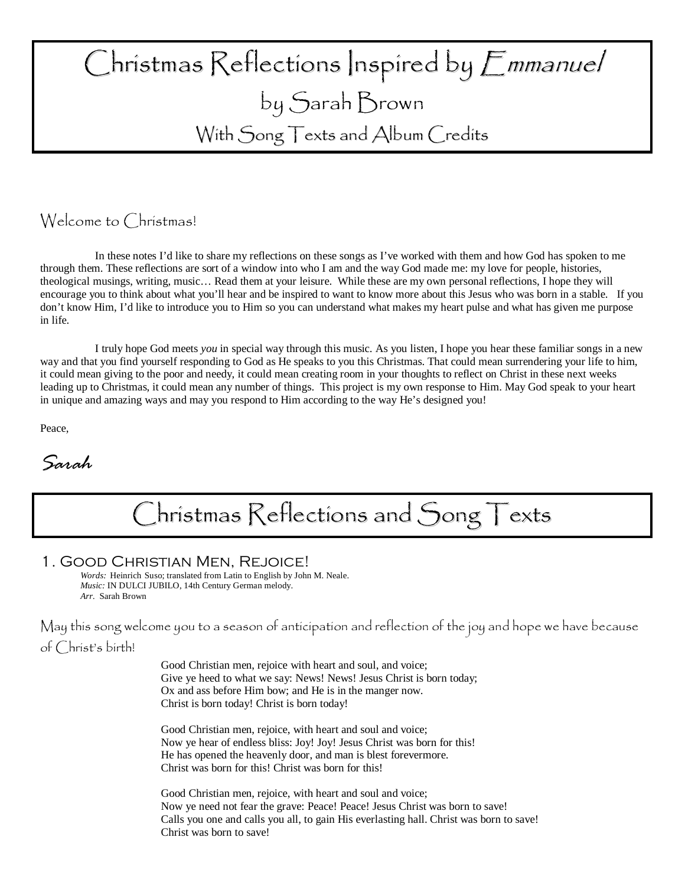# $\bigcap$ hristmas  $\bigcap$ eflections |nspired by  $\bigcap$ mmanuel by Sarah Brown With Song Texts and Album Credits

## Welcome to Christmas!

In these notes I'd like to share my reflections on these songs as I've worked with them and how God has spoken to me through them. These reflections are sort of a window into who I am and the way God made me: my love for people, histories, theological musings, writing, music… Read them at your leisure. While these are my own personal reflections, I hope they will encourage you to think about what you'll hear and be inspired to want to know more about this Jesus who was born in a stable. If you don't know Him, I'd like to introduce you to Him so you can understand what makes my heart pulse and what has given me purpose in life.

I truly hope God meets *you* in special way through this music. As you listen, I hope you hear these familiar songs in a new way and that you find yourself responding to God as He speaks to you this Christmas. That could mean surrendering your life to him, it could mean giving to the poor and needy, it could mean creating room in your thoughts to reflect on Christ in these next weeks leading up to Christmas, it could mean any number of things. This project is my own response to Him. May God speak to your heart in unique and amazing ways and may you respond to Him according to the way He's designed you!

Peace,

Sarah

Christmas Reflections and Song Texts

### 1. Good Christian Men, Rejoice!

*Words:* Heinrich Suso; translated from Latin to English by John M. Neale. *Music:* IN DULCI JUBILO, 14th Century German melody. *Arr.* Sarah Brown

May this song welcome you to a season of anticipation and reflection of the joy and hope we have because of Christ's birth!

> Good Christian men, rejoice with heart and soul, and voice; Give ye heed to what we say: News! News! Jesus Christ is born today; Ox and ass before Him bow; and He is in the manger now. Christ is born today! Christ is born today!

Good Christian men, rejoice, with heart and soul and voice; Now ye hear of endless bliss: Joy! Joy! Jesus Christ was born for this! He has opened the heavenly door, and man is blest forevermore. Christ was born for this! Christ was born for this!

Good Christian men, rejoice, with heart and soul and voice; Now ye need not fear the grave: Peace! Peace! Jesus Christ was born to save! Calls you one and calls you all, to gain His everlasting hall. Christ was born to save! Christ was born to save!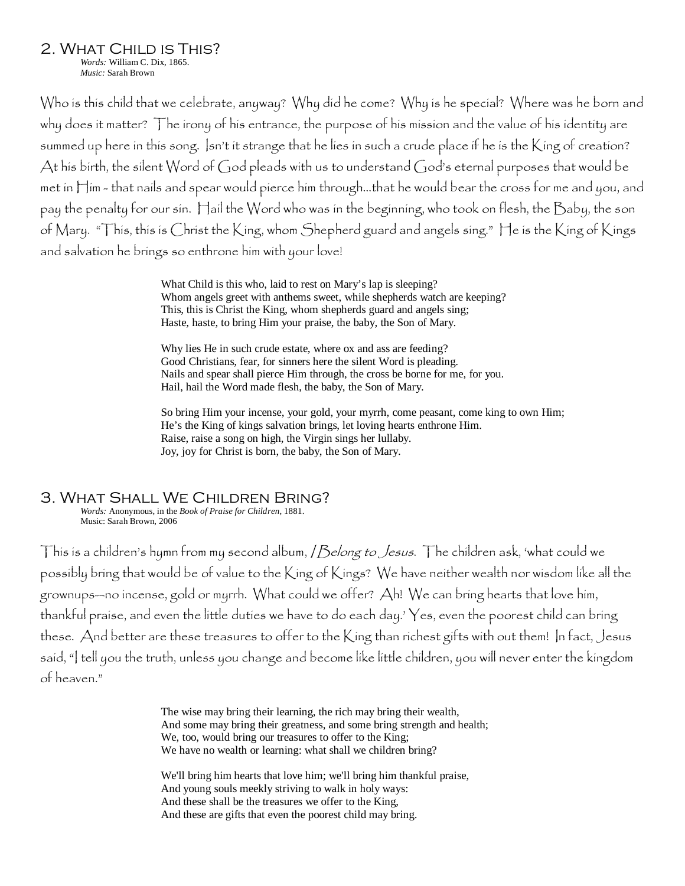2. What Child is This?

*Words:* William C. Dix, 1865. *Music:* Sarah Brown

Who is this child that we celebrate, anyway? Why did he come? Why is he special? Where was he born and why does it matter? The irony of his entrance, the purpose of his mission and the value of his identity are summed up here in this song. Isn't it strange that he lies in such a crude place if he is the King of creation? At his birth, the silent Word of God pleads with us to understand God's eternal purposes that would be met in Him - that nails and spear would pierce him through…that he would bear the cross for me and you, and pay the penalty for our sin. Hail the Word who was in the beginning, who took on flesh, the Baby, the son of Mary. "This, this is Christ the King, whom Shepherd guard and angels sing." He is the King of Kings and salvation he brings so enthrone him with your love!

> What Child is this who, laid to rest on Mary's lap is sleeping? Whom angels greet with anthems sweet, while shepherds watch are keeping? This, this is Christ the King, whom shepherds guard and angels sing; Haste, haste, to bring Him your praise, the baby, the Son of Mary.

> Why lies He in such crude estate, where ox and ass are feeding? Good Christians, fear, for sinners here the silent Word is pleading. Nails and spear shall pierce Him through, the cross be borne for me, for you. Hail, hail the Word made flesh, the baby, the Son of Mary.

 So bring Him your incense, your gold, your myrrh, come peasant, come king to own Him; He's the King of kings salvation brings, let loving hearts enthrone Him. Raise, raise a song on high, the Virgin sings her lullaby. Joy, joy for Christ is born, the baby, the Son of Mary.

## 3. What Shall We Children Bring?

*Words:* Anonymous, in the *Book of Praise for Children*, 1881. Music: Sarah Brown, 2006

This is a children's hymn from my second album, */ Belong to Jesus*. The children ask, 'what could we possibly bring that would be of value to the King of Kings? We have neither wealth nor wisdom like all the grownups—no incense, gold or myrrh. What could we offer? Ah! We can bring hearts that love him, thankful praise, and even the little duties we have to do each day.' Yes, even the poorest child can bring these. And better are these treasures to offer to the King than richest gifts with out them! In fact, Jesus said, "I tell you the truth, unless you change and become like little children, you will never enter the kingdom of heaven."

> The wise may bring their learning, the rich may bring their wealth, And some may bring their greatness, and some bring strength and health; We, too, would bring our treasures to offer to the King; We have no wealth or learning: what shall we children bring?

We'll bring him hearts that love him; we'll bring him thankful praise, And young souls meekly striving to walk in holy ways: And these shall be the treasures we offer to the King, And these are gifts that even the poorest child may bring.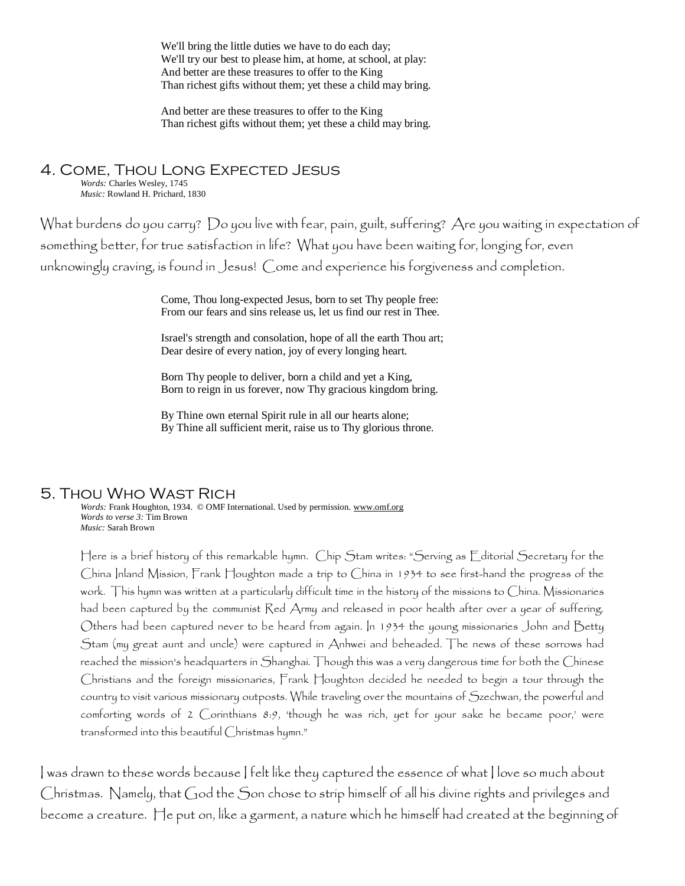We'll bring the little duties we have to do each day; We'll try our best to please him, at home, at school, at play: And better are these treasures to offer to the King Than richest gifts without them; yet these a child may bring.

And better are these treasures to offer to the King Than richest gifts without them; yet these a child may bring.

#### 4. Come, Thou Long Expected Jesus *Words:* Charles Wesley, 1745

*Music:* Rowland H. Prichard, 1830

What burdens do you carry? Do you live with fear, pain, guilt, suffering? Are you waiting in expectation of something better, for true satisfaction in life? What you have been waiting for, longing for, even unknowingly craving, is found in Jesus! Come and experience his forgiveness and completion.

> Come, Thou long-expected Jesus, born to set Thy people free: From our fears and sins release us, let us find our rest in Thee.

Israel's strength and consolation, hope of all the earth Thou art; Dear desire of every nation, joy of every longing heart.

Born Thy people to deliver, born a child and yet a King, Born to reign in us forever, now Thy gracious kingdom bring.

By Thine own eternal Spirit rule in all our hearts alone; By Thine all sufficient merit, raise us to Thy glorious throne.

## 5. Thou Who Wast Rich

*Words:* Frank Houghton, 1934. © OMF International. Used by permission. www.omf.org *Words to verse 3:* Tim Brown *Music:* Sarah Brown

Here is a brief history of this remarkable hymn. Chip Stam writes: "Serving as Editorial Secretary for the China Inland Mission, Frank Houghton made a trip to China in 1934 to see first-hand the progress of the work. This hymn was written at a particularly difficult time in the history of the missions to China. Missionaries had been captured by the communist Red Army and released in poor health after over a year of suffering. Others had been captured never to be heard from again. In 1934 the young missionaries John and Betty Stam (my great aunt and uncle) were captured in Anhwei and beheaded. The news of these sorrows had reached the mission's headquarters in Shanghai. Though this was a very dangerous time for both the Chinese Christians and the foreign missionaries, Frank Houghton decided he needed to begin a tour through the country to visit various missionary outposts. While traveling over the mountains of Szechwan, the powerful and comforting words of 2 Corinthians 8:9, 'though he was rich, yet for your sake he became poor,' were transformed into this beautiful Christmas hymn."

I was drawn to these words because I felt like they captured the essence of what I love so much about Christmas. Namely, that God the Son chose to strip himself of all his divine rights and privileges and become a creature. He put on, like a garment, a nature which he himself had created at the beginning of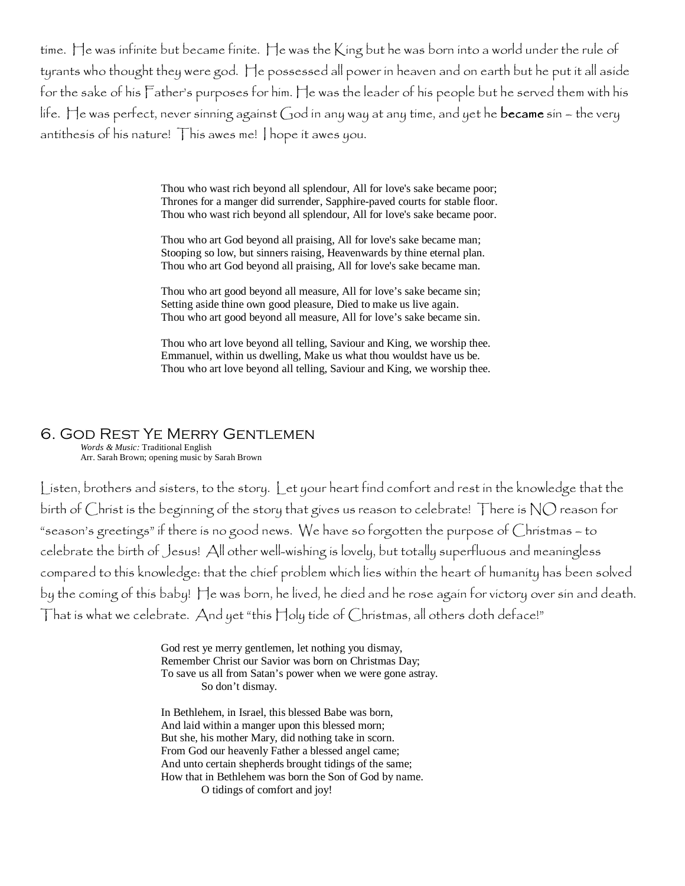time. He was infinite but became finite. He was the King but he was born into a world under the rule of tyrants who thought they were god. He possessed all power in heaven and on earth but he put it all aside for the sake of his Father's purposes for him. He was the leader of his people but he served them with his life. He was perfect, never sinning against God in any way at any time, and yet he **became** sin  $-$  the very antithesis of his nature! This awes me! I hope it awes you.

> Thou who wast rich beyond all splendour, All for love's sake became poor; Thrones for a manger did surrender, Sapphire-paved courts for stable floor. Thou who wast rich beyond all splendour, All for love's sake became poor.

Thou who art God beyond all praising, All for love's sake became man; Stooping so low, but sinners raising, Heavenwards by thine eternal plan. Thou who art God beyond all praising, All for love's sake became man.

Thou who art good beyond all measure, All for love's sake became sin; Setting aside thine own good pleasure, Died to make us live again. Thou who art good beyond all measure, All for love's sake became sin.

Thou who art love beyond all telling, Saviour and King, we worship thee. Emmanuel, within us dwelling, Make us what thou wouldst have us be. Thou who art love beyond all telling, Saviour and King, we worship thee.

#### 6. God Rest Ye Merry Gentlemen *Words & Music:* Traditional English

Arr. Sarah Brown; opening music by Sarah Brown

Listen, brothers and sisters, to the story. Let your heart find comfort and rest in the knowledge that the birth of Christ is the beginning of the story that gives us reason to celebrate! There is NO reason for "season's greetings" if there is no good news. We have so forgotten the purpose of Christmas – to celebrate the birth of Jesus! All other well-wishing is lovely, but totally superfluous and meaningless compared to this knowledge: that the chief problem which lies within the heart of humanity has been solved by the coming of this baby! He was born, he lived, he died and he rose again for victory over sin and death. That is what we celebrate. And yet "this Holy tide of Christmas, all others doth deface!"

> God rest ye merry gentlemen, let nothing you dismay, Remember Christ our Savior was born on Christmas Day; To save us all from Satan's power when we were gone astray. So don't dismay.

In Bethlehem, in Israel, this blessed Babe was born, And laid within a manger upon this blessed morn; But she, his mother Mary, did nothing take in scorn. From God our heavenly Father a blessed angel came; And unto certain shepherds brought tidings of the same; How that in Bethlehem was born the Son of God by name. O tidings of comfort and joy!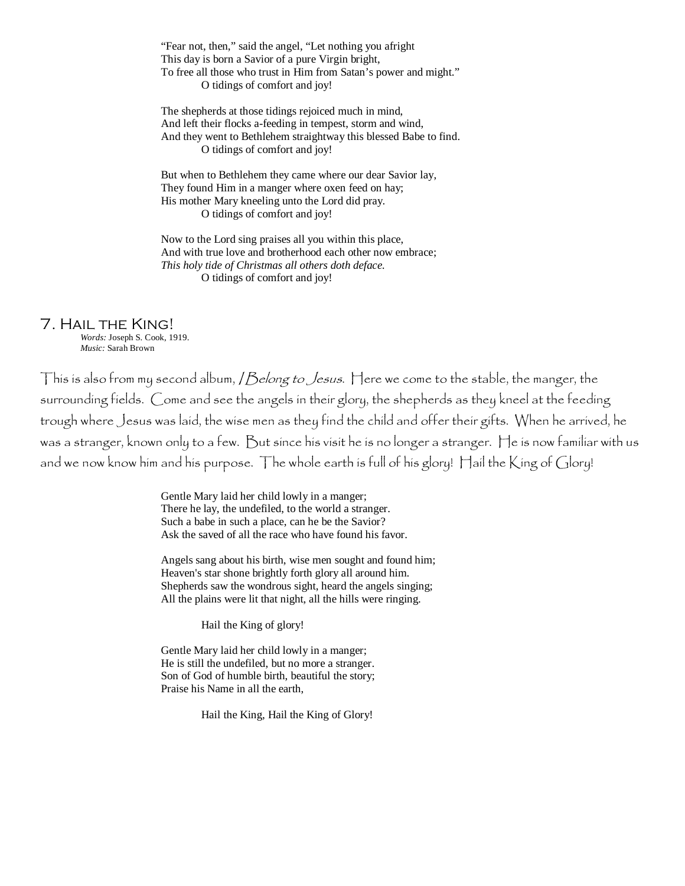"Fear not, then," said the angel, "Let nothing you afright This day is born a Savior of a pure Virgin bright, To free all those who trust in Him from Satan's power and might." O tidings of comfort and joy!

The shepherds at those tidings rejoiced much in mind, And left their flocks a-feeding in tempest, storm and wind, And they went to Bethlehem straightway this blessed Babe to find. O tidings of comfort and joy!

But when to Bethlehem they came where our dear Savior lay, They found Him in a manger where oxen feed on hay; His mother Mary kneeling unto the Lord did pray. O tidings of comfort and joy!

Now to the Lord sing praises all you within this place, And with true love and brotherhood each other now embrace; *This holy tide of Christmas all others doth deface.*  O tidings of comfort and joy!

### 7. Hail the King!

*Words:* Joseph S. Cook, 1919. *Music:* Sarah Brown

This is also from my second album, */ Belong to Jesus*. Here we come to the stable, the manger, the surrounding fields. Come and see the angels in their glory, the shepherds as they kneel at the feeding trough where Jesus was laid, the wise men as they find the child and offer their gifts. When he arrived, he was a stranger, known only to a few. But since his visit he is no longer a stranger. He is now familiar with us and we now know him and his purpose. The whole earth is full of his glory! Hail the King of Glory!

> Gentle Mary laid her child lowly in a manger; There he lay, the undefiled, to the world a stranger. Such a babe in such a place, can he be the Savior? Ask the saved of all the race who have found his favor.

Angels sang about his birth, wise men sought and found him; Heaven's star shone brightly forth glory all around him. Shepherds saw the wondrous sight, heard the angels singing; All the plains were lit that night, all the hills were ringing.

Hail the King of glory!

Gentle Mary laid her child lowly in a manger; He is still the undefiled, but no more a stranger. Son of God of humble birth, beautiful the story; Praise his Name in all the earth,

Hail the King, Hail the King of Glory!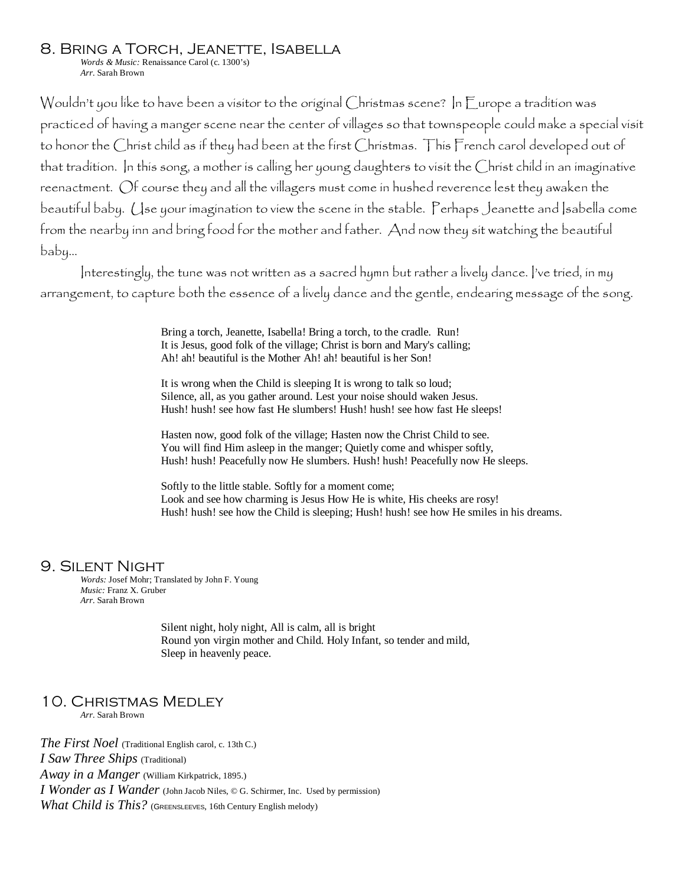#### 8. Bring a Torch, Jeanette, Isabella

*Words & Music:* Renaissance Carol (c. 1300's) *Arr.* Sarah Brown

Wouldn't you like to have been a visitor to the original Christmas scene? In Europe a tradition was practiced of having a manger scene near the center of villages so that townspeople could make a special visit to honor the Christ child as if they had been at the first Christmas. This French carol developed out of that tradition. In this song, a mother is calling her young daughters to visit the Christ child in an imaginative reenactment. Of course they and all the villagers must come in hushed reverence lest they awaken the beautiful baby. Use your imagination to view the scene in the stable. Perhaps Jeanette and Isabella come from the nearby inn and bring food for the mother and father. And now they sit watching the beautiful baby…

Interestingly, the tune was not written as a sacred hymn but rather a lively dance. I've tried, in my arrangement, to capture both the essence of a lively dance and the gentle, endearing message of the song.

> Bring a torch, Jeanette, Isabella! Bring a torch, to the cradle. Run! It is Jesus, good folk of the village; Christ is born and Mary's calling; Ah! ah! beautiful is the Mother Ah! ah! beautiful is her Son!

It is wrong when the Child is sleeping It is wrong to talk so loud; Silence, all, as you gather around. Lest your noise should waken Jesus. Hush! hush! see how fast He slumbers! Hush! hush! see how fast He sleeps!

Hasten now, good folk of the village; Hasten now the Christ Child to see. You will find Him asleep in the manger; Quietly come and whisper softly, Hush! hush! Peacefully now He slumbers. Hush! hush! Peacefully now He sleeps.

Softly to the little stable. Softly for a moment come; Look and see how charming is Jesus How He is white, His cheeks are rosy! Hush! hush! see how the Child is sleeping; Hush! hush! see how He smiles in his dreams.

#### 9. Silent Night

*Words:* Josef Mohr; Translated by John F. Young *Music:* Franz X. Gruber *Arr.* Sarah Brown

> Silent night, holy night, All is calm, all is bright Round yon virgin mother and Child. Holy Infant, so tender and mild, Sleep in heavenly peace.

## 10. Christmas Medley

*Arr.* Sarah Brown

*The First Noel* (Traditional English carol, c. 13th C.) *I Saw Three Ships* (Traditional) *Away in a Manger* (William Kirkpatrick, 1895.) *I Wonder as I Wander* (John Jacob Niles, © G. Schirmer, Inc. Used by permission) *What Child is This?* (GREENSLEEVES, 16th Century English melody)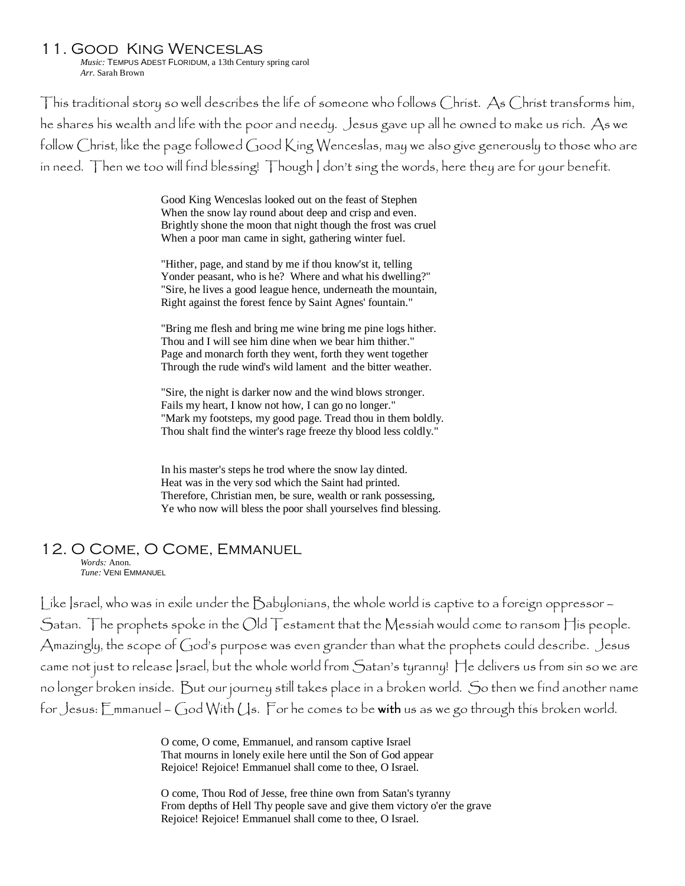#### 11. Good King Wenceslas

*Music:* TEMPUS ADEST FLORIDUM, a 13th Century spring carol *Arr.* Sarah Brown

This traditional story so well describes the life of someone who follows Christ. As Christ transforms him, he shares his wealth and life with the poor and needy. Jesus gave up all he owned to make us rich. As we follow Christ, like the page followed Good King Wenceslas, may we also give generously to those who are in need. Then we too will find blessing! Though I don't sing the words, here they are for your benefit.

> Good King Wenceslas looked out on the feast of Stephen When the snow lay round about deep and crisp and even. Brightly shone the moon that night though the frost was cruel When a poor man came in sight, gathering winter fuel.

> "Hither, page, and stand by me if thou know'st it, telling Yonder peasant, who is he? Where and what his dwelling?" "Sire, he lives a good league hence, underneath the mountain, Right against the forest fence by Saint Agnes' fountain."

> "Bring me flesh and bring me wine bring me pine logs hither. Thou and I will see him dine when we bear him thither." Page and monarch forth they went, forth they went together Through the rude wind's wild lament and the bitter weather.

"Sire, the night is darker now and the wind blows stronger. Fails my heart, I know not how, I can go no longer." "Mark my footsteps, my good page. Tread thou in them boldly. Thou shalt find the winter's rage freeze thy blood less coldly."

In his master's steps he trod where the snow lay dinted. Heat was in the very sod which the Saint had printed. Therefore, Christian men, be sure, wealth or rank possessing, Ye who now will bless the poor shall yourselves find blessing.

## 12. O Come, O Come, Emmanuel

*Words:* Anon. *Tune:* VENI EMMANUEL

Like Israel, who was in exile under the Babylonians, the whole world is captive to a foreign oppressor – Satan. The prophets spoke in the Old Testament that the Messiah would come to ransom His people. Amazingly, the scope of God's purpose was even grander than what the prophets could describe. Jesus came not just to release Israel, but the whole world from Satan's tyranny! He delivers us from sin so we are no longer broken inside. But our journey still takes place in a broken world. So then we find another name for Jesus:  $E_{mm}$  anuel – God With  $\zeta$ s. For he comes to be with us as we go through this broken world.

> O come, O come, Emmanuel, and ransom captive Israel That mourns in lonely exile here until the Son of God appear Rejoice! Rejoice! Emmanuel shall come to thee, O Israel.

O come, Thou Rod of Jesse, free thine own from Satan's tyranny From depths of Hell Thy people save and give them victory o'er the grave Rejoice! Rejoice! Emmanuel shall come to thee, O Israel.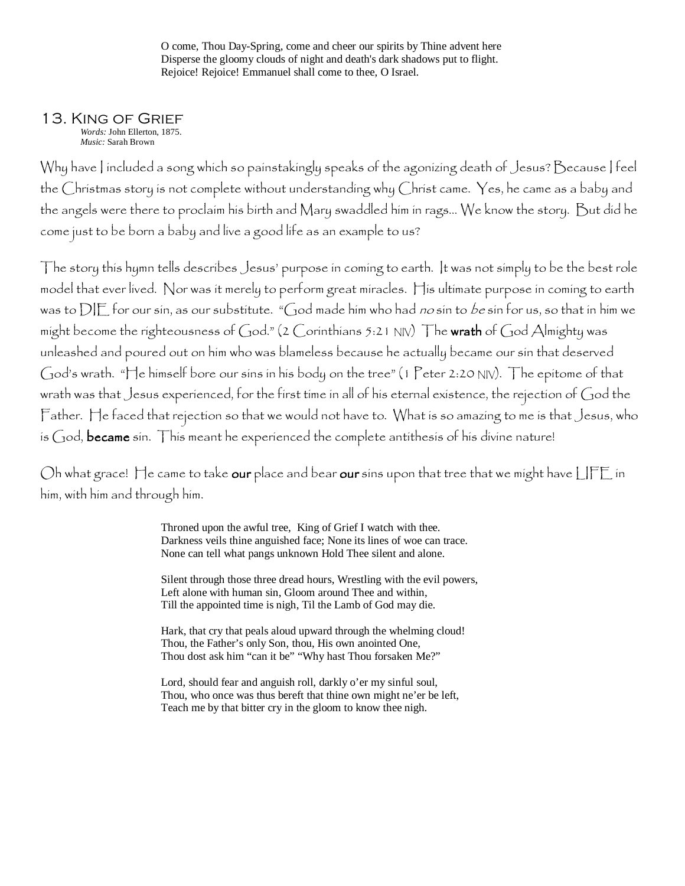O come, Thou Day-Spring, come and cheer our spirits by Thine advent here Disperse the gloomy clouds of night and death's dark shadows put to flight. Rejoice! Rejoice! Emmanuel shall come to thee, O Israel.

#### 13. King of Grief *Words:* John Ellerton, 1875.

*Music:* Sarah Brown

Why have I included a song which so painstakingly speaks of the agonizing death of Jesus? Because I feel the Christmas story is not complete without understanding why Christ came. Yes, he came as a baby and the angels were there to proclaim his birth and Mary swaddled him in rags… We know the story. But did he come just to be born a baby and live a good life as an example to us?

The story this hymn tells describes Jesus' purpose in coming to earth. It was not simply to be the best role model that ever lived. Nor was it merely to perform great miracles. His ultimate purpose in coming to earth was to DIE for our sin, as our substitute. "God made him who had no sin to be sin for us, so that in him we might become the righteousness of God." (2 Corinthians 5:21 NIV) The wrath of God Almighty was unleashed and poured out on him who was blameless because he actually became our sin that deserved God's wrath. "He himself bore our sins in his body on the tree" (1 Peter 2:20 NIV). The epitome of that wrath was that Jesus experienced, for the first time in all of his eternal existence, the rejection of God the Father. He faced that rejection so that we would not have to. What is so amazing to me is that Jesus, who is  $God$ , became sin. This meant he experienced the complete antithesis of his divine nature!

Oh what grace! He came to take our place and bear our sins upon that tree that we might have LIFE in him, with him and through him.

> Throned upon the awful tree, King of Grief I watch with thee. Darkness veils thine anguished face; None its lines of woe can trace. None can tell what pangs unknown Hold Thee silent and alone.

Silent through those three dread hours, Wrestling with the evil powers, Left alone with human sin, Gloom around Thee and within, Till the appointed time is nigh, Til the Lamb of God may die.

Hark, that cry that peals aloud upward through the whelming cloud! Thou, the Father's only Son, thou, His own anointed One, Thou dost ask him "can it be" "Why hast Thou forsaken Me?"

Lord, should fear and anguish roll, darkly o'er my sinful soul, Thou, who once was thus bereft that thine own might ne'er be left, Teach me by that bitter cry in the gloom to know thee nigh.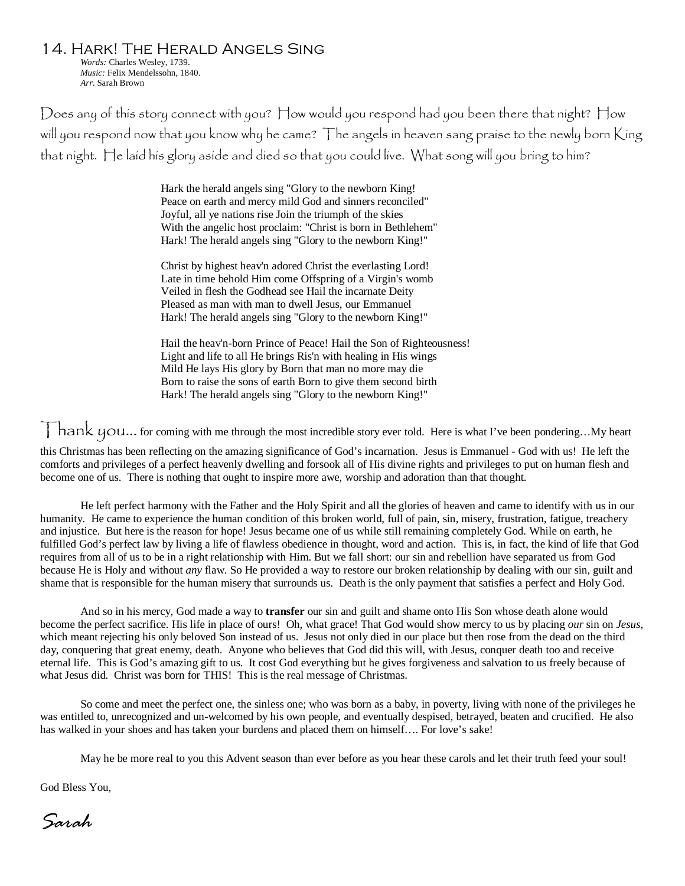14. Hark! The Herald Angels Sing *Words:* Charles Wesley, 1739. *Music:* Felix Mendelssohn, 1840. *Arr.* Sarah Brown

Does any of this story connect with you? How would you respond had you been there that night? How will you respond now that you know why he came? The angels in heaven sang praise to the newly born King that night. He laid his glory aside and died so that you could live. What song will you bring to him?

> Hark the herald angels sing "Glory to the newborn King! Peace on earth and mercy mild God and sinners reconciled" Joyful, all ye nations rise Join the triumph of the skies With the angelic host proclaim: "Christ is born in Bethlehem" Hark! The herald angels sing "Glory to the newborn King!"

> Christ by highest heav'n adored Christ the everlasting Lord! Late in time behold Him come Offspring of a Virgin's womb Veiled in flesh the Godhead see Hail the incarnate Deity Pleased as man with man to dwell Jesus, our Emmanuel Hark! The herald angels sing "Glory to the newborn King!"

Hail the heav'n-born Prince of Peace! Hail the Son of Righteousness! Light and life to all He brings Ris'n with healing in His wings Mild He lays His glory by Born that man no more may die Born to raise the sons of earth Born to give them second birth Hark! The herald angels sing "Glory to the newborn King!"

Thank you... for coming with me through the most incredible story ever told. Here is what I've been pondering...My heart

this Christmas has been reflecting on the amazing significance of God's incarnation. Jesus is Emmanuel - God with us! He left the comforts and privileges of a perfect heavenly dwelling and forsook all of His divine rights and privileges to put on human flesh and become one of us. There is nothing that ought to inspire more awe, worship and adoration than that thought.

He left perfect harmony with the Father and the Holy Spirit and all the glories of heaven and came to identify with us in our humanity. He came to experience the human condition of this broken world, full of pain, sin, misery, frustration, fatigue, treachery and injustice. But here is the reason for hope! Jesus became one of us while still remaining completely God. While on earth, he fulfilled God's perfect law by living a life of flawless obedience in thought, word and action. This is, in fact, the kind of life that God requires from all of us to be in a right relationship with Him. But we fall short: our sin and rebellion have separated us from God because He is Holy and without *any* flaw. So He provided a way to restore our broken relationship by dealing with our sin, guilt and shame that is responsible for the human misery that surrounds us. Death is the only payment that satisfies a perfect and Holy God.

And so in his mercy, God made a way to **transfer** our sin and guilt and shame onto His Son whose death alone would become the perfect sacrifice. His life in place of ours! Oh, what grace! That God would show mercy to us by placing *our* sin on *Jesus*, which meant rejecting his only beloved Son instead of us. Jesus not only died in our place but then rose from the dead on the third day, conquering that great enemy, death. Anyone who believes that God did this will, with Jesus, conquer death too and receive eternal life. This is God's amazing gift to us. It cost God everything but he gives forgiveness and salvation to us freely because of what Jesus did. Christ was born for THIS! This is the real message of Christmas.

So come and meet the perfect one, the sinless one; who was born as a baby, in poverty, living with none of the privileges he was entitled to, unrecognized and un-welcomed by his own people, and eventually despised, betrayed, beaten and crucified. He also has walked in your shoes and has taken your burdens and placed them on himself…. For love's sake!

May he be more real to you this Advent season than ever before as you hear these carols and let their truth feed your soul!

God Bless You,

Sarah